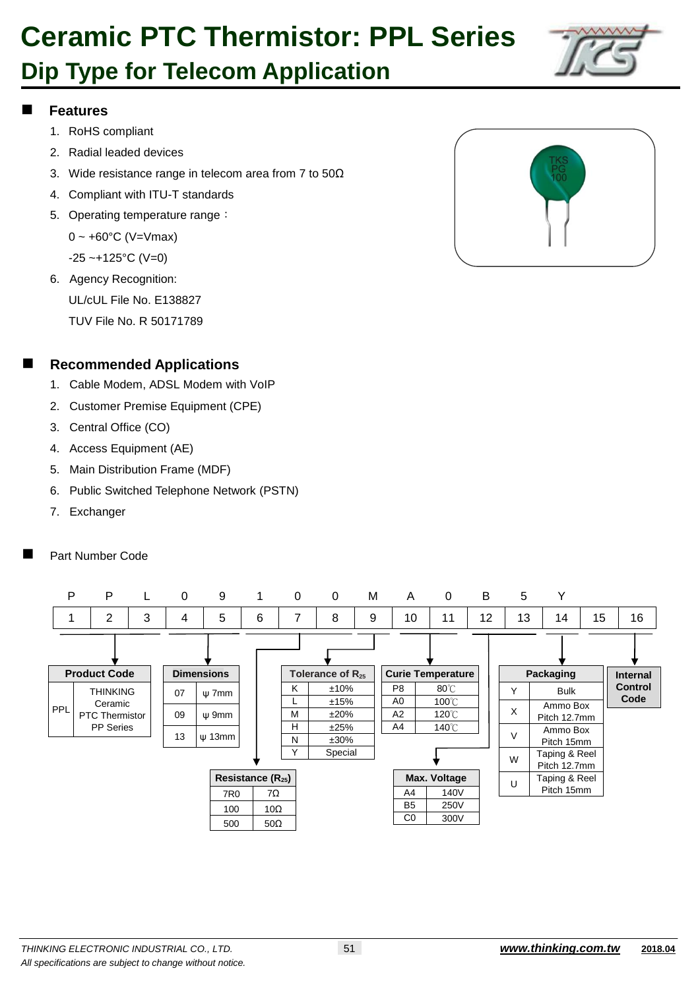# **Ceramic PTC Thermistor: PPL Series**

### **Dip Type for Telecom Application**



#### **Features**

- 1. RoHS compliant
- 2. Radial leaded devices
- 3. Wide resistance range in telecom area from 7 to 50Ω
- 4. Compliant with ITU-T standards
- 5. Operating temperature range:

 $0 \sim +60^{\circ}$ C (V=Vmax)

 $-25 - +125$ °C (V=0)

6. Agency Recognition: UL/cUL File No. E138827 TUV File No. R 50171789



- 1. Cable Modem, ADSL Modem with VoIP
- 2. Customer Premise Equipment (CPE)
- 3. Central Office (CO)
- 4. Access Equipment (AE)
- 5. Main Distribution Frame (MDF)
- 6. Public Switched Telephone Network (PSTN)
- 7. Exchanger
- Part Number Code



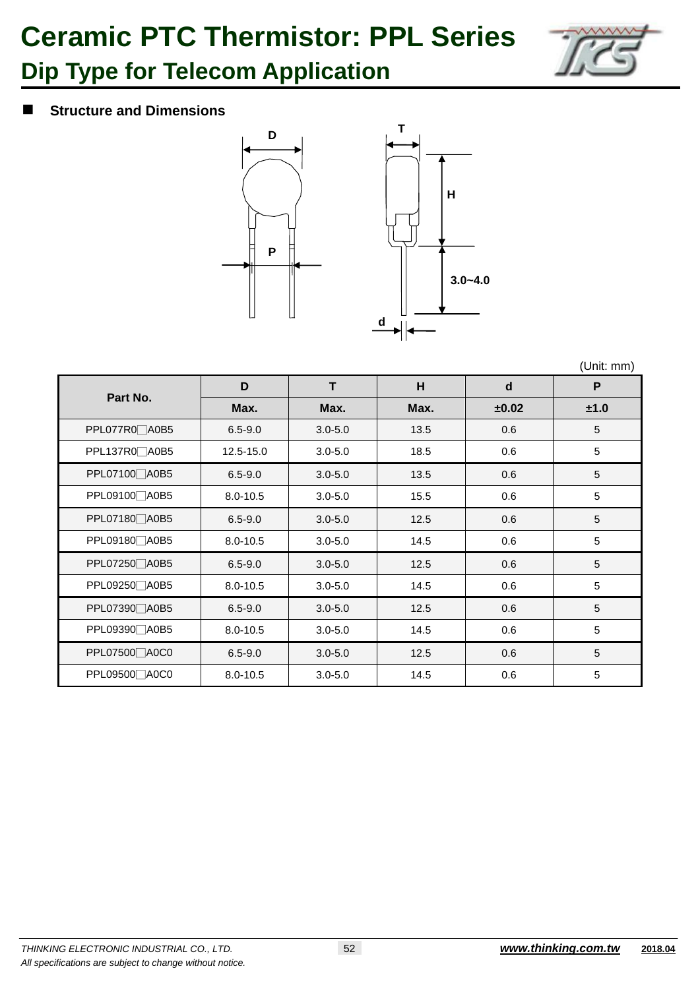# **Ceramic PTC Thermistor: PPL Series**



### **Dip Type for Telecom Application**

#### $\blacksquare$  Structure and Dimensions



(Unit: mm)

| Part No.                   | D            | Т           | H    | d     | P    |
|----------------------------|--------------|-------------|------|-------|------|
|                            | Max.         | Max.        | Max. | ±0.02 | ±1.0 |
| PPL077R0_A0B5              | $6.5 - 9.0$  | $3.0 - 5.0$ | 13.5 | 0.6   | 5    |
| PPL137R0□A0B5              | 12.5-15.0    | $3.0 - 5.0$ | 18.5 | 0.6   | 5    |
| PPL07100□A0B5              | $6.5 - 9.0$  | $3.0 - 5.0$ | 13.5 | 0.6   | 5    |
| PPL09100 <sup>40B5</sup>   | $8.0 - 10.5$ | $3.0 - 5.0$ | 15.5 | 0.6   | 5    |
| PPL07180 A0B5              | $6.5 - 9.0$  | $3.0 - 5.0$ | 12.5 | 0.6   | 5    |
| PPL09180 <sub>40B5</sub>   | $8.0 - 10.5$ | $3.0 - 5.0$ | 14.5 | 0.6   | 5    |
| PPL07250 A0B5              | $6.5 - 9.0$  | $3.0 - 5.0$ | 12.5 | 0.6   | 5    |
| PPL09250 A0B5              | $8.0 - 10.5$ | $3.0 - 5.0$ | 14.5 | 0.6   | 5    |
| PPL07390 A0B5              | $6.5 - 9.0$  | $3.0 - 5.0$ | 12.5 | 0.6   | 5    |
| PPL09390 A0B5              | $8.0 - 10.5$ | $3.0 - 5.0$ | 14.5 | 0.6   | 5    |
| PPL07500 A0C0              | $6.5 - 9.0$  | $3.0 - 5.0$ | 12.5 | 0.6   | 5    |
| PPL09500 <sup>2</sup> A0C0 | $8.0 - 10.5$ | $3.0 - 5.0$ | 14.5 | 0.6   | 5    |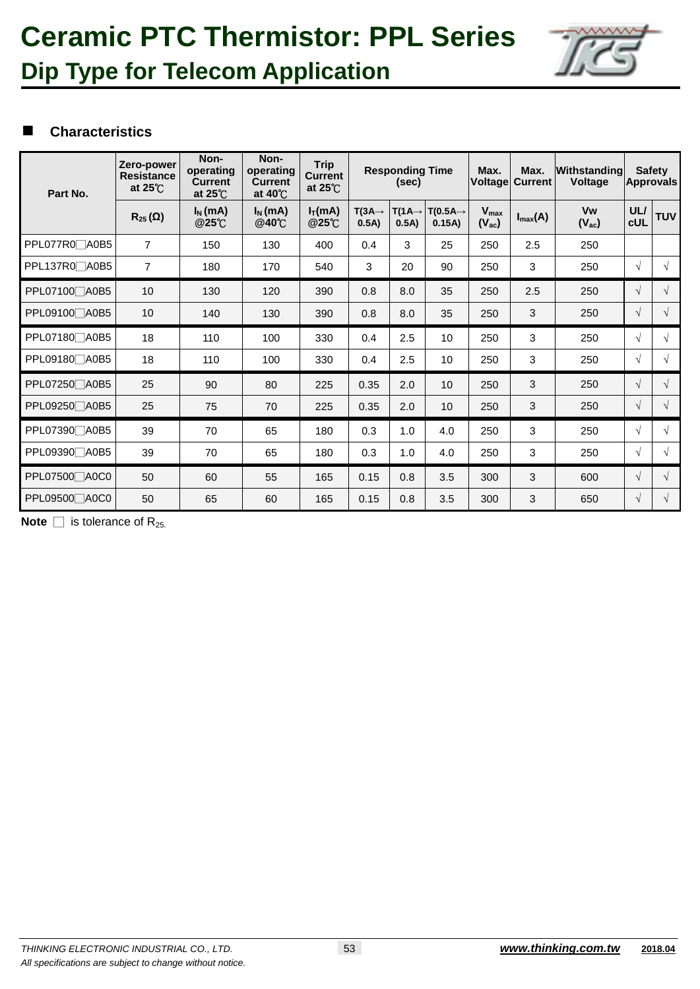### **Ceramic PTC Thermistor: PPL Series Dip Type for Telecom Application**



#### **Characteristics**

| Part No.                 | Zero-power<br><b>Resistance</b><br>at $25^{\circ}$ C | Non-<br>operating<br><b>Current</b><br>at $25^{\circ}$ C | Non-<br>operating<br><b>Current</b><br>at $40^{\circ}$ C | <b>Trip</b><br><b>Current</b><br>at $25^{\circ}$ C | <b>Responding Time</b><br>(sec) |                            | Max.                           | Max.<br><b>Voltage Current</b> | Withstanding<br><b>Voltage</b> |                  | <b>Safety</b><br><b>Approvals</b> |            |
|--------------------------|------------------------------------------------------|----------------------------------------------------------|----------------------------------------------------------|----------------------------------------------------|---------------------------------|----------------------------|--------------------------------|--------------------------------|--------------------------------|------------------|-----------------------------------|------------|
|                          | $R_{25}(\Omega)$                                     | $I_N$ (mA)<br>@25°C                                      | $I_N$ (mA)<br>@40℃                                       | $I_T(mA)$<br><b>@25℃</b>                           | $T(3A\rightarrow$<br>0.5A)      | $T(1A\rightarrow$<br>0.5A) | $T(0.5A \rightarrow$<br>0.15A) | $V_{max}$<br>$(V_{ac})$        | $I_{\text{max}}(A)$            | Vw<br>$(V_{ac})$ | UL/<br><b>cUL</b>                 | <b>TUV</b> |
| PPL077R0 A0B5            | $\overline{7}$                                       | 150                                                      | 130                                                      | 400                                                | 0.4                             | 3                          | 25                             | 250                            | 2.5                            | 250              |                                   |            |
| PPL137R0□A0B5            | $\overline{7}$                                       | 180                                                      | 170                                                      | 540                                                | 3                               | 20                         | 90                             | 250                            | 3                              | 250              | $\sqrt{ }$                        | $\sqrt{ }$ |
| PPL07100 A0B5            | 10                                                   | 130                                                      | 120                                                      | 390                                                | 0.8                             | 8.0                        | 35                             | 250                            | 2.5                            | 250              | $\sqrt{ }$                        | $\sqrt{ }$ |
| PPL09100 A0B5            | 10                                                   | 140                                                      | 130                                                      | 390                                                | 0.8                             | 8.0                        | 35                             | 250                            | 3                              | 250              | $\sqrt{ }$                        | $\sqrt{}$  |
| PPL07180 A0B5            | 18                                                   | 110                                                      | 100                                                      | 330                                                | 0.4                             | 2.5                        | 10                             | 250                            | 3                              | 250              | $\sqrt{ }$                        | $\sqrt{ }$ |
| PPL09180 A0B5            | 18                                                   | 110                                                      | 100                                                      | 330                                                | 0.4                             | 2.5                        | 10                             | 250                            | 3                              | 250              | $\sqrt{ }$                        | $\sqrt{ }$ |
| PPL07250 A0B5            | 25                                                   | 90                                                       | 80                                                       | 225                                                | 0.35                            | 2.0                        | 10                             | 250                            | 3                              | 250              | $\sqrt{ }$                        | $\sqrt{ }$ |
| PPL09250 A0B5            | 25                                                   | 75                                                       | 70                                                       | 225                                                | 0.35                            | 2.0                        | 10                             | 250                            | 3                              | 250              | $\sqrt{ }$                        | $\sqrt{}$  |
| PPL07390□A0B5            | 39                                                   | 70                                                       | 65                                                       | 180                                                | 0.3                             | 1.0                        | 4.0                            | 250                            | 3                              | 250              | $\sqrt{ }$                        | $\sqrt{ }$ |
| PPL09390 <sup>40B5</sup> | 39                                                   | 70                                                       | 65                                                       | 180                                                | 0.3                             | 1.0                        | 4.0                            | 250                            | 3                              | 250              | $\sqrt{ }$                        | $\sqrt{ }$ |
| PPL07500□A0C0            | 50                                                   | 60                                                       | 55                                                       | 165                                                | 0.15                            | 0.8                        | 3.5                            | 300                            | 3                              | 600              | $\sqrt{ }$                        | $\sqrt{ }$ |
| PPL09500 A0C0            | 50                                                   | 65                                                       | 60                                                       | 165                                                | 0.15                            | 0.8                        | 3.5                            | 300                            | 3                              | 650              | $\sqrt{ }$                        | $\sqrt{ }$ |

**Note**  $\Box$  is tolerance of R<sub>25.</sub>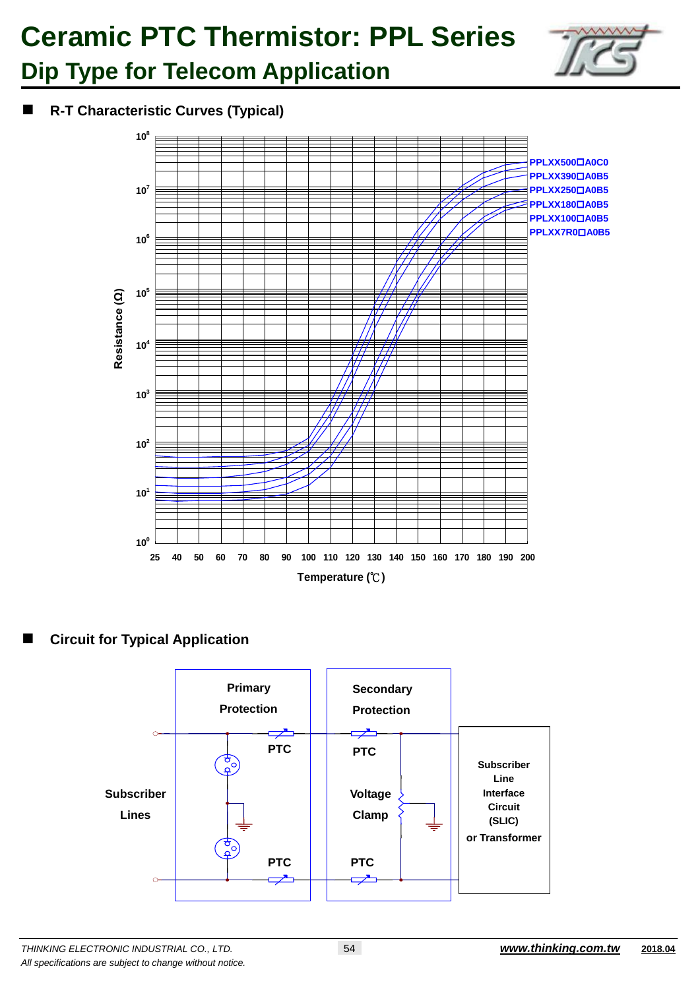# **Ceramic PTC Thermistor: PPL Series**



### **Dip Type for Telecom Application**

**R-T Characteristic Curves (Typical)**



#### **Circuit for Typical Application**

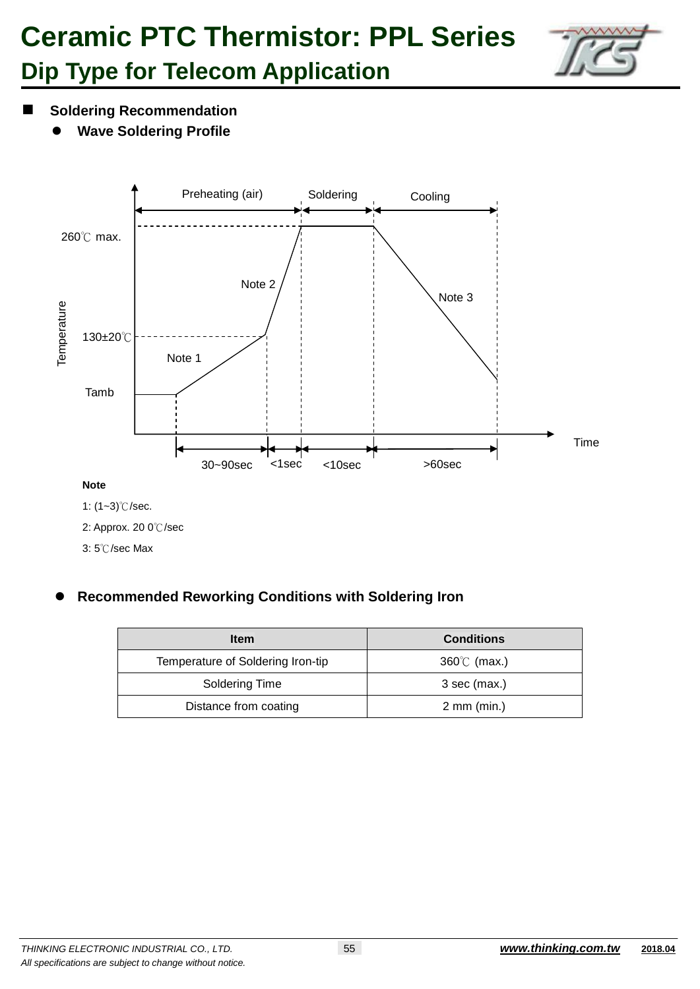## **Ceramic PTC Thermistor: PPL Series Dip Type for Telecom Application**



- **Soldering Recommendation** 
	- **Wave Soldering Profile**



3: 5℃/sec Max

#### **Recommended Reworking Conditions with Soldering Iron**

| <b>Item</b>                       | <b>Conditions</b>       |  |
|-----------------------------------|-------------------------|--|
| Temperature of Soldering Iron-tip | $360^{\circ}$ (max.)    |  |
| Soldering Time                    | 3 sec (max.)            |  |
| Distance from coating             | $2 \, \text{mm}$ (min.) |  |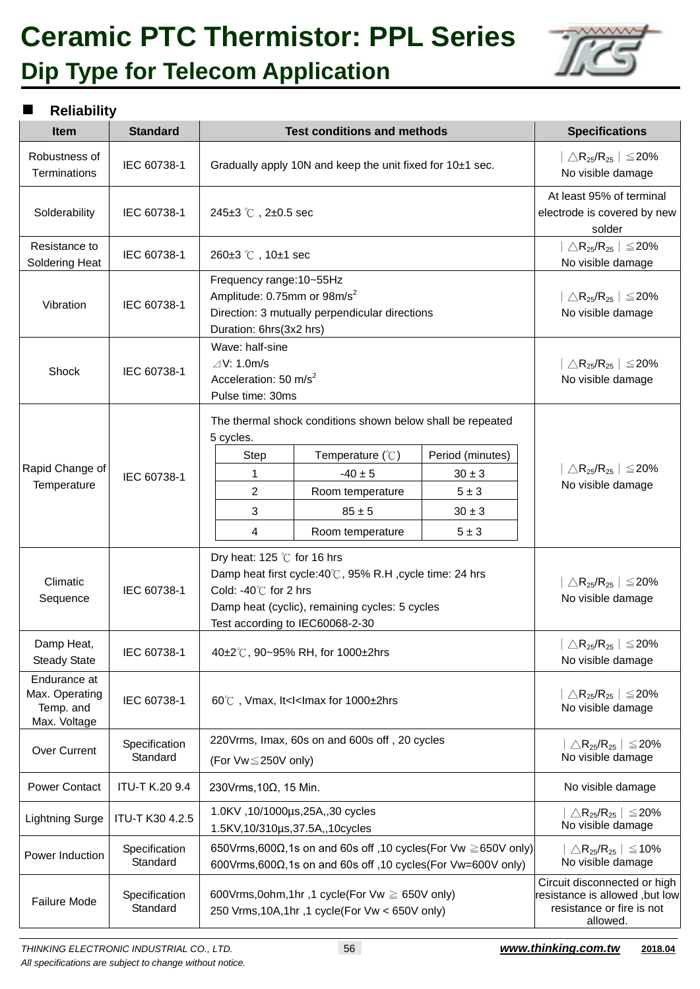### **Ceramic PTC Thermistor: PPL Series Dip Type for Telecom Application**



#### **Reliability**

| <b>Item</b>                                                 | <b>Standard</b>           | <b>Test conditions and methods</b>                                                                                                                                                                           | <b>Specifications</b>                                                                                                                               |                                                                      |                                                                                                         |  |
|-------------------------------------------------------------|---------------------------|--------------------------------------------------------------------------------------------------------------------------------------------------------------------------------------------------------------|-----------------------------------------------------------------------------------------------------------------------------------------------------|----------------------------------------------------------------------|---------------------------------------------------------------------------------------------------------|--|
| Robustness of<br>Terminations                               | IEC 60738-1               | Gradually apply 10N and keep the unit fixed for 10±1 sec.                                                                                                                                                    |                                                                                                                                                     |                                                                      | $\mid \triangle \mathsf{R}_{25} / \mathsf{R}_{25} \mid \leq 20\%$<br>No visible damage                  |  |
| Solderability                                               | IEC 60738-1               | 245 $\pm$ 3 °C, 2 $\pm$ 0.5 sec                                                                                                                                                                              |                                                                                                                                                     |                                                                      | At least 95% of terminal<br>electrode is covered by new<br>solder                                       |  |
| Resistance to<br>Soldering Heat                             | IEC 60738-1               | 260±3 ℃, 10±1 sec                                                                                                                                                                                            |                                                                                                                                                     |                                                                      | $\triangle$ R <sub>25</sub> /R <sub>25</sub>   $\leq$ 20%<br>No visible damage                          |  |
| Vibration                                                   | IEC 60738-1               | Frequency range: 10~55Hz<br>Amplitude: 0.75mm or 98m/s <sup>2</sup><br>Duration: 6hrs(3x2 hrs)                                                                                                               | Direction: 3 mutually perpendicular directions                                                                                                      |                                                                      | $\triangle$ R <sub>25</sub> /R <sub>25</sub>   $\leq$ 20%<br>No visible damage                          |  |
| Shock                                                       | IEC 60738-1               | Wave: half-sine<br>$\angle$ V: 1.0m/s<br>Pulse time: 30ms                                                                                                                                                    | Acceleration: 50 m/s <sup>2</sup>                                                                                                                   |                                                                      |                                                                                                         |  |
| Rapid Change of<br>Temperature                              | IEC 60738-1               | 5 cycles.<br><b>Step</b><br>1<br>$\overline{2}$<br>3<br>4                                                                                                                                                    | The thermal shock conditions shown below shall be repeated<br>Temperature (°C)<br>$-40 \pm 5$<br>Room temperature<br>$85 \pm 5$<br>Room temperature | Period (minutes)<br>$30 \pm 3$<br>$5 \pm 3$<br>$30\pm3$<br>$5 \pm 3$ | $ \triangle R_{25}/R_{25}  \leq 20\%$<br>No visible damage                                              |  |
| Climatic<br>Sequence                                        | IEC 60738-1               | Dry heat: 125 $\degree$ C for 16 hrs<br>Damp heat first cycle:40°C, 95% R.H, cycle time: 24 hrs<br>Cold: -40℃ for 2 hrs<br>Damp heat (cyclic), remaining cycles: 5 cycles<br>Test according to IEC60068-2-30 |                                                                                                                                                     |                                                                      | $ \triangle R_{25}/R_{25}  \le 20\%$<br>No visible damage                                               |  |
| Damp Heat,<br><b>Steady State</b>                           | IEC 60738-1               | 40±2°C, 90~95% RH, for 1000±2hrs                                                                                                                                                                             |                                                                                                                                                     |                                                                      | $ \triangle R_{25}/R_{25}  \leq 20\%$<br>No visible damage                                              |  |
| Endurance at<br>Max. Operating<br>Temp. and<br>Max. Voltage | IEC 60738-1               | 60℃, Vmax, It <i<imax 1000±2hrs<="" for="" td=""><td><math>\triangle</math>R<sub>25</sub>/R<sub>25</sub>   <math>\leq</math>20%<br/>No visible damage</td></i<imax>                                          |                                                                                                                                                     |                                                                      | $\triangle$ R <sub>25</sub> /R <sub>25</sub>   $\leq$ 20%<br>No visible damage                          |  |
| Over Current                                                | Specification<br>Standard | 220Vrms, Imax, 60s on and 600s off, 20 cycles<br>(For Vw≤250V only)                                                                                                                                          |                                                                                                                                                     |                                                                      | $\triangle$ R <sub>25</sub> /R <sub>25</sub>   $\leq$ 20%<br>No visible damage                          |  |
| <b>Power Contact</b>                                        | <b>ITU-T K.20 9.4</b>     | 230Vrms, 10Ω, 15 Min.                                                                                                                                                                                        |                                                                                                                                                     |                                                                      | No visible damage                                                                                       |  |
| <b>Lightning Surge</b>                                      | ITU-T K30 4.2.5           | 1.0KV, 10/1000µs, 25A, 30 cycles<br>1.5KV,10/310µs,37.5A,,10cycles                                                                                                                                           |                                                                                                                                                     |                                                                      | $\triangle$ R <sub>25</sub> /R <sub>25</sub>   $\leq$ 20%<br>No visible damage                          |  |
| Power Induction                                             | Specification<br>Standard | 650Vrms,600 $\Omega$ ,1s on and 60s off ,10 cycles(For Vw $\geq$ 650V only)<br>600Vrms, 600 $\Omega$ , 1s on and 60s off, 10 cycles (For Vw=600V only)                                                       |                                                                                                                                                     |                                                                      | $\triangle$ R <sub>25</sub> /R <sub>25</sub>   $\leq$ 10%<br>No visible damage                          |  |
| <b>Failure Mode</b>                                         | Specification<br>Standard | 600Vrms, 0ohm, 1hr, 1 cycle (For Vw $\geq$ 650V only)<br>250 Vrms, 10A, 1hr, 1 cycle(For Vw < 650V only)                                                                                                     |                                                                                                                                                     |                                                                      | Circuit disconnected or high<br>resistance is allowed, but low<br>resistance or fire is not<br>allowed. |  |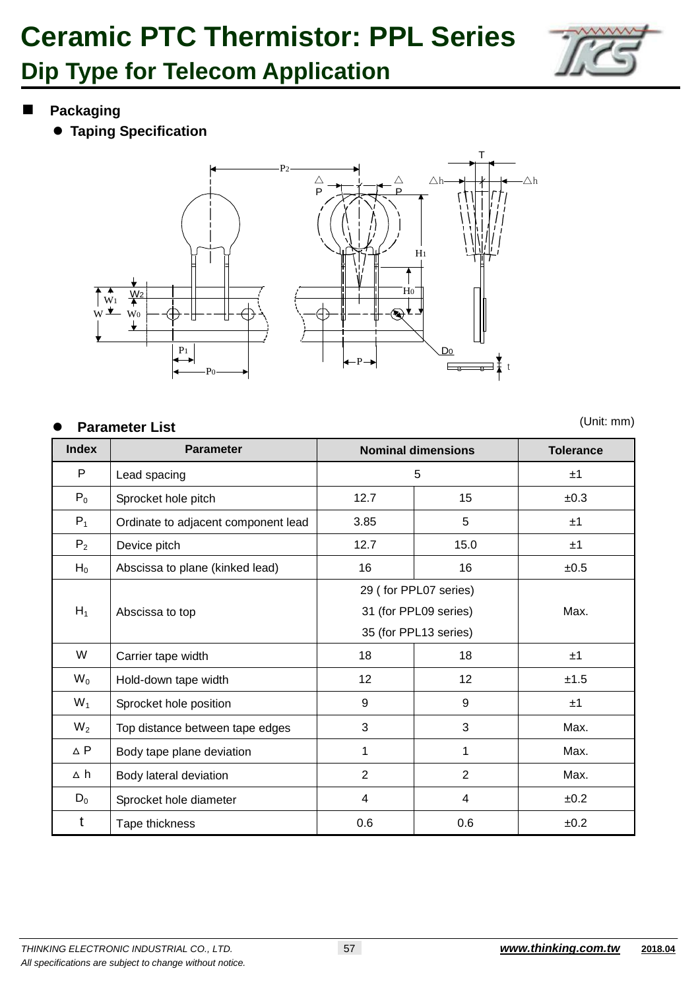

**Packaging**

**Taping Specification**



#### **Parameter List**

(Unit: mm)

| <b>Index</b>   | <b>Parameter</b>                    | <b>Nominal dimensions</b> | <b>Tolerance</b>      |      |
|----------------|-------------------------------------|---------------------------|-----------------------|------|
| P              | Lead spacing                        | 5                         | ±1                    |      |
| $P_0$          | Sprocket hole pitch                 | 12.7                      | 15                    | ±0.3 |
| $P_1$          | Ordinate to adjacent component lead | 3.85                      | 5                     | ±1   |
| P <sub>2</sub> | Device pitch                        | 12.7                      | 15.0                  | ±1   |
| $H_0$          | Abscissa to plane (kinked lead)     | 16                        | 16                    | ±0.5 |
|                |                                     |                           | 29 (for PPL07 series) |      |
| $H_1$          | Abscissa to top                     | 31 (for PPL09 series)     | Max.                  |      |
|                |                                     | 35 (for PPL13 series)     |                       |      |
| W              | Carrier tape width                  | 18                        | 18                    | ±1   |
| $W_0$          | Hold-down tape width                | 12 <sup>2</sup>           | $12 \overline{ }$     | ±1.5 |
| $W_1$          | Sprocket hole position              | 9                         | 9                     | ±1   |
| $W_2$          | Top distance between tape edges     | 3                         | 3                     | Max. |
| $\Delta$ P     | Body tape plane deviation           | 1                         | 1                     | Max. |
| ∆ h            | Body lateral deviation              | $\overline{2}$            | $\overline{2}$        | Max. |
| $D_0$          | Sprocket hole diameter              | 4                         | 4                     | ±0.2 |
| t              | Tape thickness                      | 0.6                       | 0.6                   | ±0.2 |